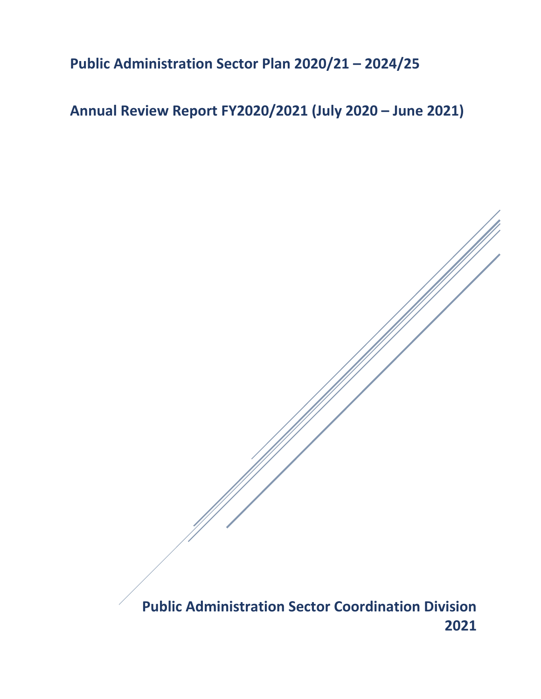## **Public Administration Sector Plan 2020/21 – 2024/25**

# **Annual Review Report FY2020/2021 (July 2020 – June 2021)**

**Public Administration Sector Coordination Division 2021**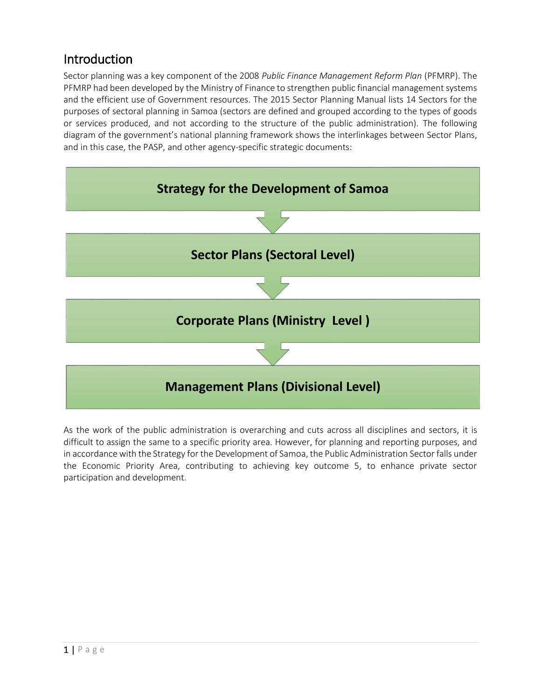### Introduction

Sector planning was a key component of the 2008 *Public Finance Management Reform Plan* (PFMRP). The PFMRP had been developed by the Ministry of Finance to strengthen public financial management systems and the efficient use of Government resources. The 2015 Sector Planning Manual lists 14 Sectors for the purposes of sectoral planning in Samoa (sectors are defined and grouped according to the types of goods or services produced, and not according to the structure of the public administration). The following diagram of the government's national planning framework shows the interlinkages between Sector Plans, and in this case, the PASP, and other agency-specific strategic documents:



As the work of the public administration is overarching and cuts across all disciplines and sectors, it is difficult to assign the same to a specific priority area. However, for planning and reporting purposes, and in accordance with the Strategy for the Development of Samoa, the Public Administration Sector falls under the Economic Priority Area, contributing to achieving key outcome 5, to enhance private sector participation and development.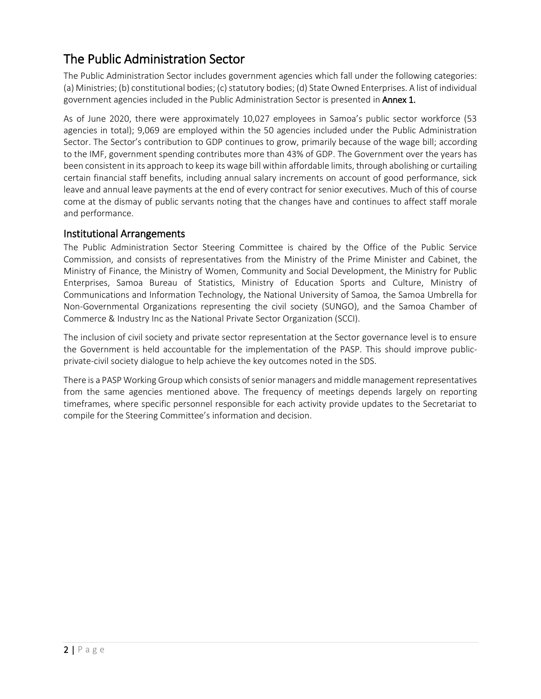## The Public Administration Sector

The Public Administration Sector includes government agencies which fall under the following categories: (a) Ministries; (b) constitutional bodies; (c) statutory bodies; (d) State Owned Enterprises. A list of individual government agencies included in the Public Administration Sector is presented in **Annex 1.** 

As of June 2020, there were approximately 10,027 employees in Samoa's public sector workforce (53 agencies in total); 9,069 are employed within the 50 agencies included under the Public Administration Sector. The Sector's contribution to GDP continues to grow, primarily because of the wage bill; according to the IMF, government spending contributes more than 43% of GDP. The Government over the years has been consistent in its approach to keep its wage bill within affordable limits, through abolishing or curtailing certain financial staff benefits, including annual salary increments on account of good performance, sick leave and annual leave payments at the end of every contract for senior executives. Much of this of course come at the dismay of public servants noting that the changes have and continues to affect staff morale and performance.

#### Institutional Arrangements

The Public Administration Sector Steering Committee is chaired by the Office of the Public Service Commission, and consists of representatives from the Ministry of the Prime Minister and Cabinet, the Ministry of Finance, the Ministry of Women, Community and Social Development, the Ministry for Public Enterprises, Samoa Bureau of Statistics, Ministry of Education Sports and Culture, Ministry of Communications and Information Technology, the National University of Samoa, the Samoa Umbrella for Non-Governmental Organizations representing the civil society (SUNGO), and the Samoa Chamber of Commerce & Industry Inc as the National Private Sector Organization (SCCI).

The inclusion of civil society and private sector representation at the Sector governance level is to ensure the Government is held accountable for the implementation of the PASP. This should improve publicprivate-civil society dialogue to help achieve the key outcomes noted in the SDS.

There is a PASP Working Group which consists of senior managers and middle management representatives from the same agencies mentioned above. The frequency of meetings depends largely on reporting timeframes, where specific personnel responsible for each activity provide updates to the Secretariat to compile for the Steering Committee's information and decision.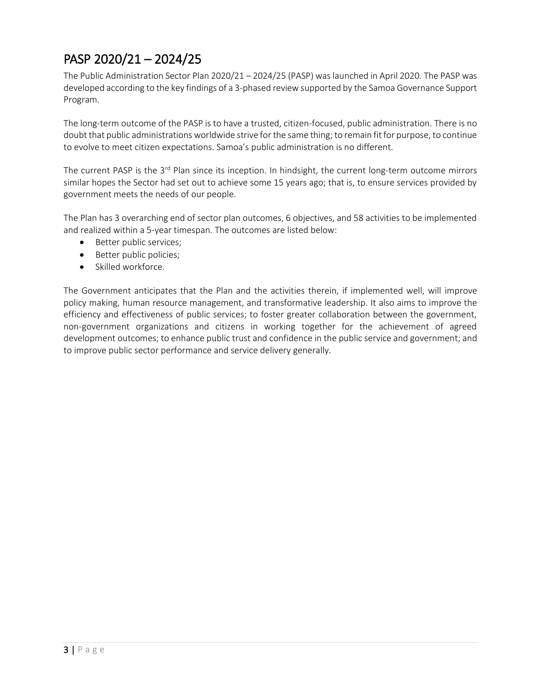# PASP 2020/21 – 2024/25

The Public Administration Sector Plan 2020/21 – 2024/25 (PASP) was launched in April 2020. The PASP was developed according to the key findings of a 3-phased review supported by the Samoa Governance Support Program.

The long-term outcome of the PASP is to have a trusted, citizen-focused, public administration. There is no doubt that public administrations worldwide strive for the same thing; to remain fit for purpose, to continue to evolve to meet citizen expectations. Samoa's public administration is no different.

The current PASP is the 3<sup>rd</sup> Plan since its inception. In hindsight, the current long-term outcome mirrors similar hopes the Sector had set out to achieve some 15 years ago; that is, to ensure services provided by government meets the needs of our people.

The Plan has 3 overarching end of sector plan outcomes, 6 objectives, and 58 activities to be implemented and realized within a 5-year timespan. The outcomes are listed below:

- Better public services;
- Better public policies;
- Skilled workforce.

The Government anticipates that the Plan and the activities therein, if implemented well, will improve policy making, human resource management, and transformative leadership. It also aims to improve the efficiency and effectiveness of public services; to foster greater collaboration between the government, non-government organizations and citizens in working together for the achievement of agreed development outcomes; to enhance public trust and confidence in the public service and government; and to improve public sector performance and service delivery generally.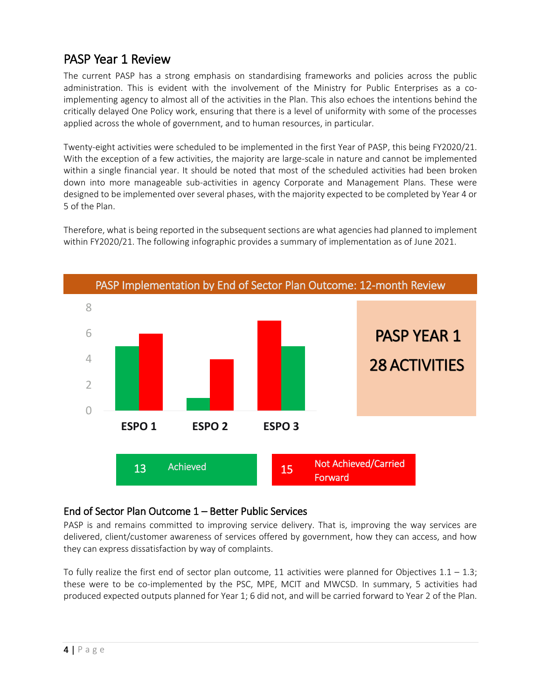### PASP Year 1 Review

The current PASP has a strong emphasis on standardising frameworks and policies across the public administration. This is evident with the involvement of the Ministry for Public Enterprises as a coimplementing agency to almost all of the activities in the Plan. This also echoes the intentions behind the critically delayed One Policy work, ensuring that there is a level of uniformity with some of the processes applied across the whole of government, and to human resources, in particular.

Twenty-eight activities were scheduled to be implemented in the first Year of PASP, this being FY2020/21. With the exception of a few activities, the majority are large-scale in nature and cannot be implemented within a single financial year. It should be noted that most of the scheduled activities had been broken down into more manageable sub-activities in agency Corporate and Management Plans. These were designed to be implemented over several phases, with the majority expected to be completed by Year 4 or 5 of the Plan.

Therefore, what is being reported in the subsequent sections are what agencies had planned to implement within FY2020/21. The following infographic provides a summary of implementation as of June 2021.



#### End of Sector Plan Outcome 1 – Better Public Services

PASP is and remains committed to improving service delivery. That is, improving the way services are delivered, client/customer awareness of services offered by government, how they can access, and how they can express dissatisfaction by way of complaints.

To fully realize the first end of sector plan outcome, 11 activities were planned for Objectives  $1.1 - 1.3$ ; these were to be co-implemented by the PSC, MPE, MCIT and MWCSD. In summary, 5 activities had produced expected outputs planned for Year 1; 6 did not, and will be carried forward to Year 2 of the Plan.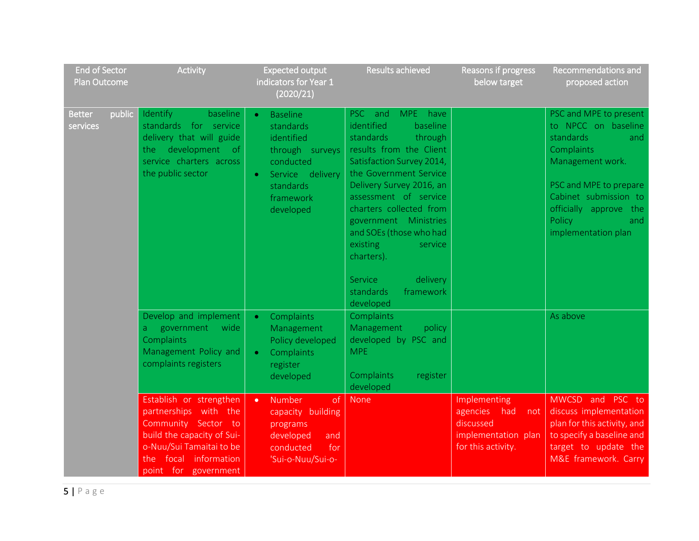| <b>End of Sector</b><br>Plan Outcome | Activity                                                                                                                                                                               | <b>Expected output</b><br>indicators for Year 1<br>(2020/21)                                                                                                    | <b>Results achieved</b>                                                                                                                                                                                                                                                                                                          | Reasons if progress<br>below target                                                              | Recommendations and<br>proposed action                                                                                                                                                                                      |
|--------------------------------------|----------------------------------------------------------------------------------------------------------------------------------------------------------------------------------------|-----------------------------------------------------------------------------------------------------------------------------------------------------------------|----------------------------------------------------------------------------------------------------------------------------------------------------------------------------------------------------------------------------------------------------------------------------------------------------------------------------------|--------------------------------------------------------------------------------------------------|-----------------------------------------------------------------------------------------------------------------------------------------------------------------------------------------------------------------------------|
| public<br><b>Better</b><br>services  | Identify<br>baseline<br>standards for service<br>delivery that will guide<br>the development<br>of.<br>service charters across<br>the public sector                                    | <b>Baseline</b><br>$\bullet$<br>standards<br>identified<br>through surveys<br>conducted<br>Service delivery<br>$\bullet$<br>standards<br>framework<br>developed | PSC and<br>MPE have<br>identified<br>baseline<br>standards<br>through<br>results from the Client<br>Satisfaction Survey 2014,<br>the Government Service<br>Delivery Survey 2016, an<br>assessment of service<br>charters collected from<br>government Ministries<br>and SOEs (those who had<br>existing<br>service<br>charters). |                                                                                                  | PSC and MPE to present<br>to NPCC on baseline<br>standards<br>and<br>Complaints<br>Management work.<br>PSC and MPE to prepare<br>Cabinet submission to<br>officially approve<br>the<br>Policy<br>and<br>implementation plan |
|                                      |                                                                                                                                                                                        |                                                                                                                                                                 | Service<br>delivery<br>standards<br>framework<br>developed                                                                                                                                                                                                                                                                       |                                                                                                  |                                                                                                                                                                                                                             |
|                                      | Develop and implement<br>government<br>wide<br>a<br>Complaints<br>Management Policy and<br>complaints registers                                                                        | Complaints<br>$\bullet$<br>Management<br>Policy developed<br>Complaints<br>$\bullet$<br>register<br>developed                                                   | Complaints<br>Management<br>policy<br>developed by PSC and<br><b>MPE</b><br>Complaints<br>register<br>developed                                                                                                                                                                                                                  |                                                                                                  | As above                                                                                                                                                                                                                    |
|                                      | Establish or strengthen<br>partnerships with the<br>Community Sector to<br>build the capacity of Sui-<br>o-Nuu/Sui Tamaitai to be<br>focal information<br>the:<br>point for government | Number<br>of<br>$\bullet$<br>capacity building<br>programs<br>developed<br>and<br>conducted<br>for<br>'Sui-o-Nuu/Sui-o-                                         | <b>None</b>                                                                                                                                                                                                                                                                                                                      | Implementing<br>agencies<br>had<br>not<br>discussed<br>implementation plan<br>for this activity. | MWCSD and PSC to<br>discuss implementation<br>plan for this activity, and<br>to specify a baseline and<br>target to update the<br>M&E framework. Carry                                                                      |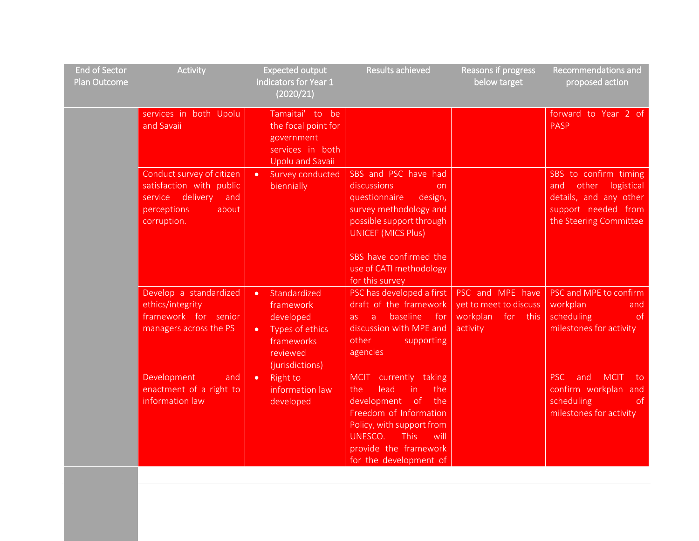| <b>End of Sector</b><br>Plan Outcome | <b>Activity</b>                                                                                                            | <b>Expected output</b><br>indicators for Year 1<br>(2020/21)                                                                     | <b>Results achieved</b>                                                                                                                                                                                                           | Reasons if progress<br>below target                        | Recommendations and<br>proposed action                                                                                         |
|--------------------------------------|----------------------------------------------------------------------------------------------------------------------------|----------------------------------------------------------------------------------------------------------------------------------|-----------------------------------------------------------------------------------------------------------------------------------------------------------------------------------------------------------------------------------|------------------------------------------------------------|--------------------------------------------------------------------------------------------------------------------------------|
|                                      | services in both Upolu<br>and Savaii                                                                                       | Tamaitai' to be<br>the focal point for<br>government<br>services in both<br><b>Upolu and Savaii</b>                              |                                                                                                                                                                                                                                   |                                                            | forward to Year 2 of<br><b>PASP</b>                                                                                            |
|                                      | Conduct survey of citizen<br>satisfaction with public<br>delivery<br>service<br>and<br>perceptions<br>about<br>corruption. | Survey conducted<br>$\bullet$<br>biennially                                                                                      | SBS and PSC have had<br>discussions<br>on.<br>questionnaire<br>design,<br>survey methodology and<br>possible support through<br><b>UNICEF (MICS Plus)</b><br>SBS have confirmed the<br>use of CATI methodology<br>for this survey |                                                            | SBS to confirm timing<br>other<br>logistical<br>and<br>details, and any other<br>support needed from<br>the Steering Committee |
|                                      | Develop a standardized<br>ethics/integrity<br>framework for senior<br>managers across the PS                               | Standardized<br>$\bullet$<br>framework<br>developed<br>Types of ethics<br>$\bullet$<br>frameworks<br>reviewed<br>(jurisdictions) | PSC has developed a first<br>draft of the framework<br>baseline<br>a -<br>for<br>as.<br>discussion with MPE and<br>other<br>supporting<br>agencies                                                                                | yet to meet to discuss<br>for this<br>workplan<br>activity | PSC and MPE have   PSC and MPE to confirm<br>workplan<br>and<br>scheduling<br>of<br>milestones for activity                    |
|                                      | Development<br>and<br>enactment of a right to<br>information law                                                           | $\bullet$<br><b>Right to</b><br>information law<br>developed                                                                     | MCIT currently taking<br>in.<br>lead<br>the<br>the<br>development of<br>the<br>Freedom of Information<br>Policy, with support from<br>UNESCO.<br><b>This</b><br>will<br>provide the framework<br>for the development of           |                                                            | <b>PSC</b><br>and<br><b>MCIT</b><br>to<br>confirm workplan and<br>scheduling<br>of.<br>milestones for activity                 |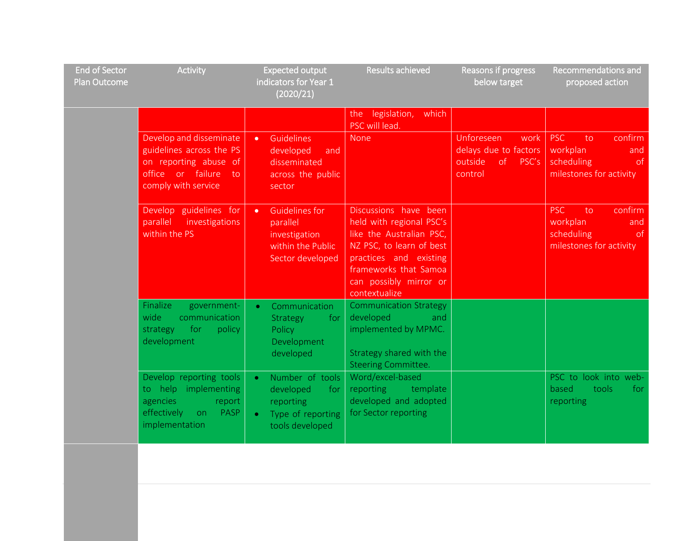| <b>End of Sector</b><br>Plan Outcome | <b>Activity</b>                                                                                                                | <b>Expected output</b><br>indicators for Year 1<br>(2020/21)                                                       | Results achieved                                                                                                                                                                                        | Reasons if progress<br>below target                                              | Recommendations and<br>proposed action                                                          |
|--------------------------------------|--------------------------------------------------------------------------------------------------------------------------------|--------------------------------------------------------------------------------------------------------------------|---------------------------------------------------------------------------------------------------------------------------------------------------------------------------------------------------------|----------------------------------------------------------------------------------|-------------------------------------------------------------------------------------------------|
|                                      |                                                                                                                                |                                                                                                                    | the legislation,<br>which<br>PSC will lead.                                                                                                                                                             |                                                                                  |                                                                                                 |
|                                      | Develop and disseminate<br>guidelines across the PS<br>on reporting abuse of<br>office or failure<br>to<br>comply with service | Guidelines<br>$\bullet$<br>developed<br>and<br>disseminated<br>across the public<br>sector                         | None                                                                                                                                                                                                    | Unforeseen<br>work<br>delays due to factors<br>outside<br>of<br>PSC's<br>control | <b>PSC</b><br>confirm<br>to.<br>workplan<br>and<br>scheduling<br>of<br>milestones for activity  |
|                                      | Develop guidelines for<br>parallel<br>investigations<br>within the PS                                                          | <b>Guidelines for</b><br>$\bullet$<br>parallel<br>investigation<br>within the Public<br>Sector developed           | Discussions have been<br>held with regional PSC's<br>like the Australian PSC,<br>NZ PSC, to learn of best<br>practices and existing<br>frameworks that Samoa<br>can possibly mirror or<br>contextualize |                                                                                  | <b>PSC</b><br>confirm<br>to.<br>workplan<br>and<br>scheduling<br>of.<br>milestones for activity |
|                                      | Finalize<br>government-<br>wide<br>communication<br>for<br>policy<br>strategy<br>development                                   | Communication<br>$\bullet$<br>Strategy<br>for<br>Policy<br>Development<br>developed                                | <b>Communication Strategy</b><br>developed<br>and<br>implemented by MPMC.<br>Strategy shared with the<br><b>Steering Committee.</b>                                                                     |                                                                                  |                                                                                                 |
|                                      | Develop reporting tools<br>to help implementing<br>agencies<br>report<br>effectively<br><b>PASP</b><br>on.<br>implementation   | Number of tools<br>$\bullet$<br>developed<br>for<br>reporting<br>Type of reporting<br>$\bullet$<br>tools developed | Word/excel-based<br>reporting<br>template<br>developed and adopted<br>for Sector reporting                                                                                                              |                                                                                  | PSC to look into web-<br>tools<br>based<br>for<br>reporting                                     |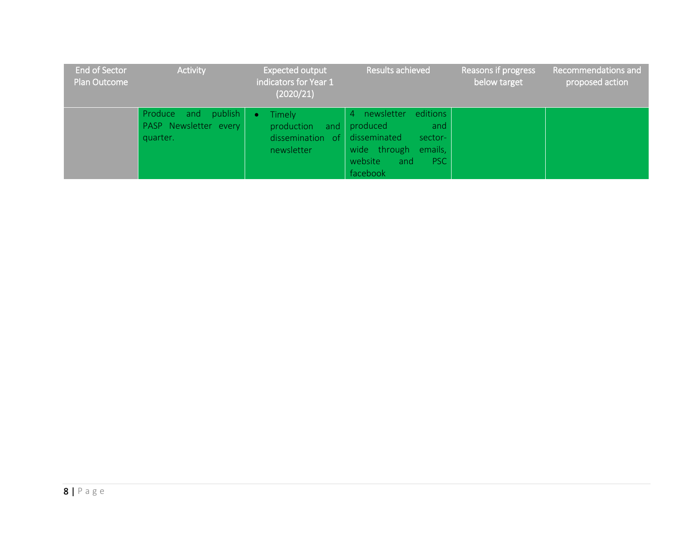| <b>End of Sector</b><br>Plan Outcome | <b>Activity</b>                                             | Expected output<br>indicators for Year 1<br>(2020/21)                            | Results achieved                                                                                                         | Reasons if progress<br>below target | Recommendations and<br>proposed action |
|--------------------------------------|-------------------------------------------------------------|----------------------------------------------------------------------------------|--------------------------------------------------------------------------------------------------------------------------|-------------------------------------|----------------------------------------|
|                                      | publish<br>Produce and<br>PASP Newsletter every<br>quarter. | Timely<br>$\bullet$<br>production<br>dissemination of disseminated<br>newsletter | editions<br>4 newsletter<br>and produced<br>and<br>sector-<br>wide through emails,<br>website<br>PSC:<br>and<br>facebook |                                     |                                        |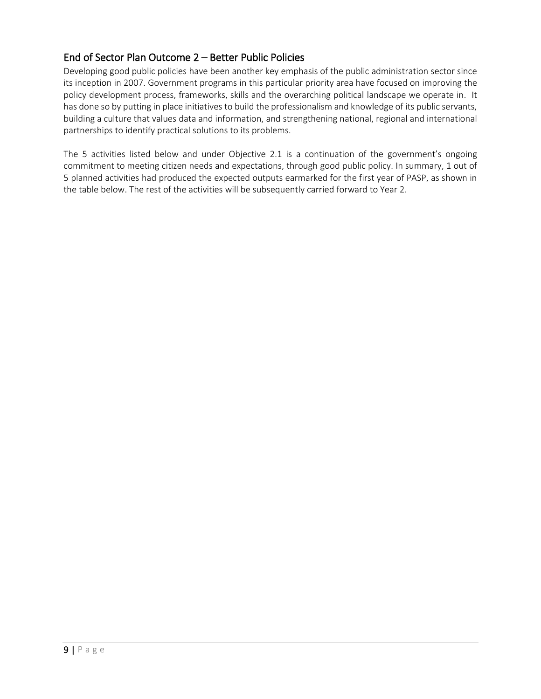### End of Sector Plan Outcome 2 – Better Public Policies

Developing good public policies have been another key emphasis of the public administration sector since its inception in 2007. Government programs in this particular priority area have focused on improving the policy development process, frameworks, skills and the overarching political landscape we operate in. It has done so by putting in place initiatives to build the professionalism and knowledge of its public servants, building a culture that values data and information, and strengthening national, regional and international partnerships to identify practical solutions to its problems.

The 5 activities listed below and under Objective 2.1 is a continuation of the government's ongoing commitment to meeting citizen needs and expectations, through good public policy. In summary, 1 out of 5 planned activities had produced the expected outputs earmarked for the first year of PASP, as shown in the table below. The rest of the activities will be subsequently carried forward to Year 2.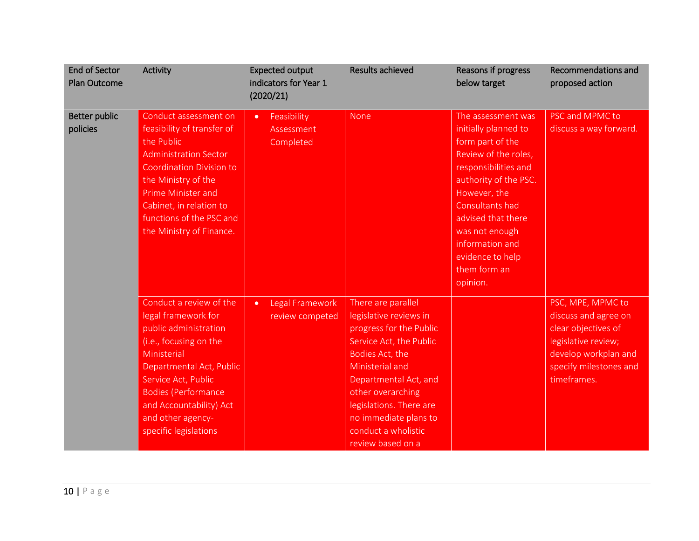| <b>End of Sector</b><br><b>Plan Outcome</b> | Activity                                                                                                                                                                                                                                                                    | <b>Expected output</b><br>indicators for Year 1<br>(2020/21) | Results achieved                                                                                                                                                                                                                                                                       | Reasons if progress<br>below target                                                                                                                                                                                                                                                   | Recommendations and<br>proposed action                                                                                                                   |
|---------------------------------------------|-----------------------------------------------------------------------------------------------------------------------------------------------------------------------------------------------------------------------------------------------------------------------------|--------------------------------------------------------------|----------------------------------------------------------------------------------------------------------------------------------------------------------------------------------------------------------------------------------------------------------------------------------------|---------------------------------------------------------------------------------------------------------------------------------------------------------------------------------------------------------------------------------------------------------------------------------------|----------------------------------------------------------------------------------------------------------------------------------------------------------|
| <b>Better public</b><br>policies            | Conduct assessment on<br>feasibility of transfer of<br>the Public<br><b>Administration Sector</b><br><b>Coordination Division to</b><br>the Ministry of the<br><b>Prime Minister and</b><br>Cabinet, in relation to<br>functions of the PSC and<br>the Ministry of Finance. | Feasibility<br>$\bullet$<br>Assessment<br>Completed          | None                                                                                                                                                                                                                                                                                   | The assessment was<br>initially planned to<br>form part of the<br>Review of the roles,<br>responsibilities and<br>authority of the PSC.<br>However, the<br>Consultants had<br>advised that there<br>was not enough<br>information and<br>evidence to help<br>them form an<br>opinion. | PSC and MPMC to<br>discuss a way forward.                                                                                                                |
|                                             | Conduct a review of the<br>legal framework for<br>public administration<br>(i.e., focusing on the<br>Ministerial<br>Departmental Act, Public<br>Service Act, Public<br><b>Bodies (Performance</b><br>and Accountability) Act<br>and other agency-<br>specific legislations  | Legal Framework<br>$\bullet$<br>review competed              | There are parallel<br>legislative reviews in<br>progress for the Public<br>Service Act, the Public<br>Bodies Act, the<br>Ministerial and<br>Departmental Act, and<br>other overarching<br>legislations. There are<br>no immediate plans to<br>conduct a wholistic<br>review based on a |                                                                                                                                                                                                                                                                                       | PSC, MPE, MPMC to<br>discuss and agree on<br>clear objectives of<br>legislative review;<br>develop workplan and<br>specify milestones and<br>timeframes. |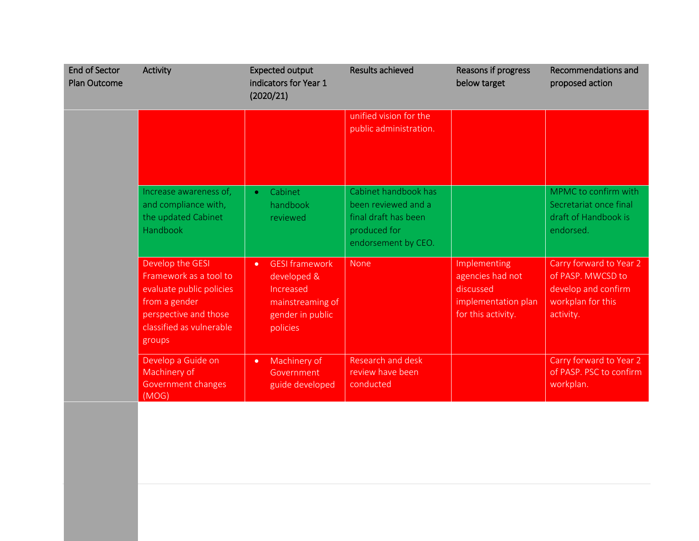| <b>End of Sector</b><br><b>Plan Outcome</b> | Activity                                                                                                                                               | <b>Expected output</b><br>indicators for Year 1<br>(2020/21)                                                       | <b>Results achieved</b>                                                                                    | Reasons if progress<br>below target                                                        | Recommendations and<br>proposed action                                                                |
|---------------------------------------------|--------------------------------------------------------------------------------------------------------------------------------------------------------|--------------------------------------------------------------------------------------------------------------------|------------------------------------------------------------------------------------------------------------|--------------------------------------------------------------------------------------------|-------------------------------------------------------------------------------------------------------|
|                                             |                                                                                                                                                        |                                                                                                                    | unified vision for the<br>public administration.                                                           |                                                                                            |                                                                                                       |
|                                             | Increase awareness of,<br>and compliance with,<br>the updated Cabinet<br>Handbook                                                                      | Cabinet<br>$\bullet$<br>handbook<br>reviewed                                                                       | Cabinet handbook has<br>been reviewed and a<br>final draft has been<br>produced for<br>endorsement by CEO. |                                                                                            | MPMC to confirm with<br>Secretariat once final<br>draft of Handbook is<br>endorsed.                   |
|                                             | Develop the GESI<br>Framework as a tool to<br>evaluate public policies<br>from a gender<br>perspective and those<br>classified as vulnerable<br>groups | <b>GESI framework</b><br>$\bullet$<br>developed &<br>Increased<br>mainstreaming of<br>gender in public<br>policies | <b>None</b>                                                                                                | Implementing<br>agencies had not<br>discussed<br>implementation plan<br>for this activity. | Carry forward to Year 2<br>of PASP. MWCSD to<br>develop and confirm<br>workplan for this<br>activity. |
|                                             | Develop a Guide on<br>Machinery of<br>Government changes<br>(MOG)                                                                                      | Machinery of<br>$\bullet$<br>Government<br>guide developed                                                         | Research and desk<br>review have been<br>conducted                                                         |                                                                                            | Carry forward to Year 2<br>of PASP. PSC to confirm<br>workplan.                                       |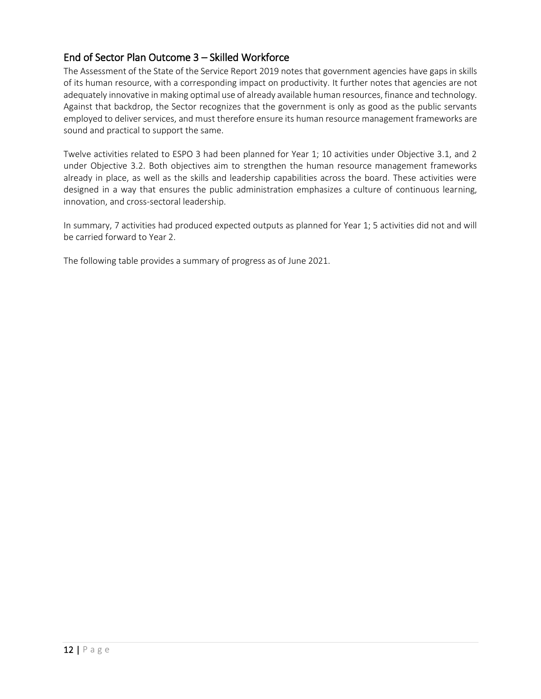### End of Sector Plan Outcome 3 – Skilled Workforce

The Assessment of the State of the Service Report 2019 notes that government agencies have gaps in skills of its human resource, with a corresponding impact on productivity. It further notes that agencies are not adequately innovative in making optimal use of already available human resources, finance and technology. Against that backdrop, the Sector recognizes that the government is only as good as the public servants employed to deliver services, and must therefore ensure its human resource management frameworks are sound and practical to support the same.

Twelve activities related to ESPO 3 had been planned for Year 1; 10 activities under Objective 3.1, and 2 under Objective 3.2. Both objectives aim to strengthen the human resource management frameworks already in place, as well as the skills and leadership capabilities across the board. These activities were designed in a way that ensures the public administration emphasizes a culture of continuous learning, innovation, and cross-sectoral leadership.

In summary, 7 activities had produced expected outputs as planned for Year 1; 5 activities did not and will be carried forward to Year 2.

The following table provides a summary of progress as of June 2021.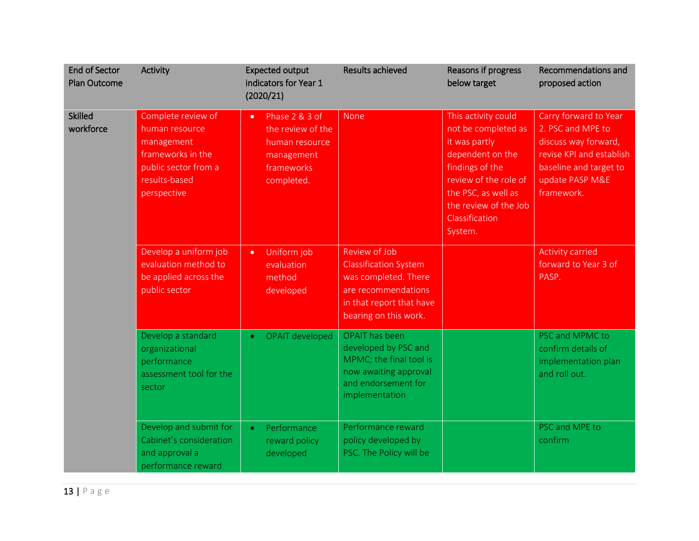| <b>End of Sector</b><br><b>Plan Outcome</b> | Activity                                                                                                                        | <b>Expected output</b><br>indicators for Year 1<br>(2020/21)                                                 | <b>Results achieved</b>                                                                                                                           | Reasons if progress<br>below target                                                                                                                                                                      | Recommendations and<br>proposed action                                                                                                                    |
|---------------------------------------------|---------------------------------------------------------------------------------------------------------------------------------|--------------------------------------------------------------------------------------------------------------|---------------------------------------------------------------------------------------------------------------------------------------------------|----------------------------------------------------------------------------------------------------------------------------------------------------------------------------------------------------------|-----------------------------------------------------------------------------------------------------------------------------------------------------------|
| <b>Skilled</b><br>workforce                 | Complete review of<br>human resource<br>management<br>frameworks in the<br>public sector from a<br>results-based<br>perspective | Phase 2 & 3 of<br>$\bullet$<br>the review of the<br>human resource<br>management<br>frameworks<br>completed. | None                                                                                                                                              | This activity could<br>not be completed as<br>it was partly<br>dependent on the<br>findings of the<br>review of the role of<br>the PSC, as well as<br>the review of the Job<br>Classification<br>System. | Carry forward to Year<br>2. PSC and MPE to<br>discuss way forward,<br>revise KPI and establish<br>baseline and target to<br>update PASP M&E<br>framework. |
|                                             | Develop a uniform job<br>evaluation method to<br>be applied across the<br>public sector                                         | Uniform job<br>$\bullet$<br>evaluation<br>method<br>developed                                                | Review of Job<br><b>Classification System</b><br>was completed. There<br>are recommendations<br>in that report that have<br>bearing on this work. |                                                                                                                                                                                                          | <b>Activity carried</b><br>forward to Year 3 of<br>PASP.                                                                                                  |
|                                             | Develop a standard<br>organizational<br>performance<br>assessment tool for the<br>sector                                        | <b>OPAIT developed</b><br>$\bullet$                                                                          | <b>OPAIT</b> has been<br>developed by PSC and<br>MPMC; the final tool is<br>now awaiting approval<br>and endorsement for<br>implementation        |                                                                                                                                                                                                          | PSC and MPMC to<br>confirm details of<br>implementation plan<br>and roll out.                                                                             |
|                                             | Develop and submit for<br>Cabinet's consideration<br>and approval a<br>performance reward                                       | Performance<br>$\bullet$<br>reward policy<br>developed                                                       | Performance reward<br>policy developed by<br>PSC. The Policy will be                                                                              |                                                                                                                                                                                                          | PSC and MPE to<br>confirm                                                                                                                                 |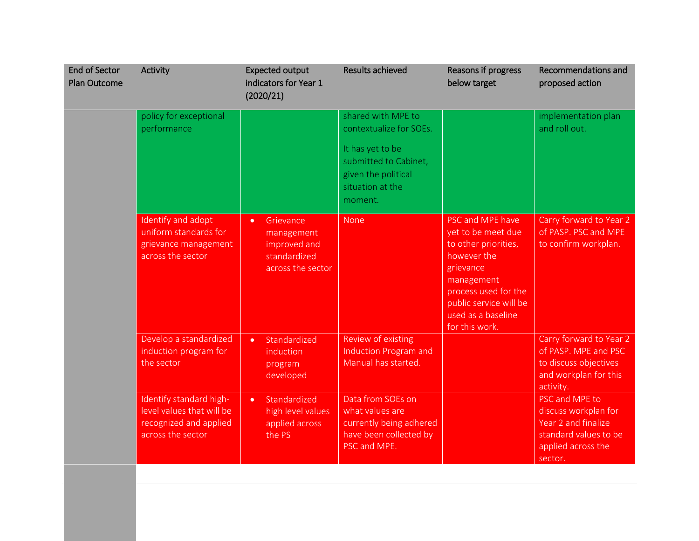| <b>End of Sector</b><br><b>Plan Outcome</b> | Activity                                                                                            | <b>Expected output</b><br>indicators for Year 1<br>(2020/21)                              | <b>Results achieved</b>                                                                                                                          | Reasons if progress<br>below target                                                                                                                                                                | Recommendations and<br>proposed action                                                                                  |
|---------------------------------------------|-----------------------------------------------------------------------------------------------------|-------------------------------------------------------------------------------------------|--------------------------------------------------------------------------------------------------------------------------------------------------|----------------------------------------------------------------------------------------------------------------------------------------------------------------------------------------------------|-------------------------------------------------------------------------------------------------------------------------|
|                                             | policy for exceptional<br>performance                                                               |                                                                                           | shared with MPE to<br>contextualize for SOEs.<br>It has yet to be<br>submitted to Cabinet,<br>given the political<br>situation at the<br>moment. |                                                                                                                                                                                                    | implementation plan<br>and roll out.                                                                                    |
|                                             | Identify and adopt<br>uniform standards for<br>grievance management<br>across the sector            | Grievance<br>$\bullet$<br>management<br>improved and<br>standardized<br>across the sector | None                                                                                                                                             | PSC and MPE have<br>yet to be meet due<br>to other priorities,<br>however the<br>grievance<br>management<br>process used for the<br>public service will be<br>used as a baseline<br>for this work. | Carry forward to Year 2<br>of PASP. PSC and MPE<br>to confirm workplan.                                                 |
|                                             | Develop a standardized<br>induction program for<br>the sector                                       | Standardized<br>$\bullet$<br>induction<br>program<br>developed                            | Review of existing<br>Induction Program and<br>Manual has started.                                                                               |                                                                                                                                                                                                    | Carry forward to Year 2<br>of PASP. MPE and PSC<br>to discuss objectives<br>and workplan for this<br>activity.          |
|                                             | Identify standard high-<br>level values that will be<br>recognized and applied<br>across the sector | Standardized<br>$\bullet$<br>high level values<br>applied across<br>the PS                | Data from SOEs on<br>what values are<br>currently being adhered<br>have been collected by<br>PSC and MPE.                                        |                                                                                                                                                                                                    | PSC and MPE to<br>discuss workplan for<br>Year 2 and finalize<br>standard values to be<br>applied across the<br>sector. |

14 | P a g e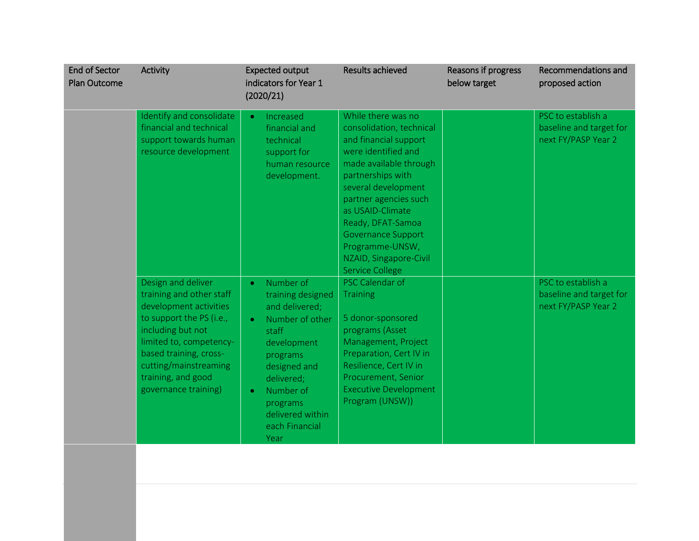| <b>End of Sector</b><br><b>Plan Outcome</b> | Activity                                                                                                                                                                                                                                              | <b>Expected output</b><br>indicators for Year 1<br>(2020/21)                                                                                                                                                                                        | <b>Results achieved</b>                                                                                                                                                                                                                                                                                                                    | Reasons if progress<br>below target | Recommendations and<br>proposed action                               |
|---------------------------------------------|-------------------------------------------------------------------------------------------------------------------------------------------------------------------------------------------------------------------------------------------------------|-----------------------------------------------------------------------------------------------------------------------------------------------------------------------------------------------------------------------------------------------------|--------------------------------------------------------------------------------------------------------------------------------------------------------------------------------------------------------------------------------------------------------------------------------------------------------------------------------------------|-------------------------------------|----------------------------------------------------------------------|
|                                             | Identify and consolidate<br>financial and technical<br>support towards human<br>resource development                                                                                                                                                  | Increased<br>$\bullet$<br>financial and<br>technical<br>support for<br>human resource<br>development.                                                                                                                                               | While there was no<br>consolidation, technical<br>and financial support<br>were identified and<br>made available through<br>partnerships with<br>several development<br>partner agencies such<br>as USAID-Climate<br>Ready, DFAT-Samoa<br><b>Governance Support</b><br>Programme-UNSW,<br>NZAID, Singapore-Civil<br><b>Service College</b> |                                     | PSC to establish a<br>baseline and target for<br>next FY/PASP Year 2 |
|                                             | Design and deliver<br>training and other staff<br>development activities<br>to support the PS (i.e.,<br>including but not<br>limited to, competency-<br>based training, cross-<br>cutting/mainstreaming<br>training, and good<br>governance training) | Number of<br>$\bullet$<br>training designed<br>and delivered;<br>Number of other<br>$\bullet$<br>staff<br>development<br>programs<br>designed and<br>delivered;<br>Number of<br>$\bullet$<br>programs<br>delivered within<br>each Financial<br>Year | PSC Calendar of<br><b>Training</b><br>5 donor-sponsored<br>programs (Asset<br>Management, Project<br>Preparation, Cert IV in<br>Resilience, Cert IV in<br>Procurement, Senior<br><b>Executive Development</b><br>Program (UNSW))                                                                                                           |                                     | PSC to establish a<br>baseline and target for<br>next FY/PASP Year 2 |

15 | P a g e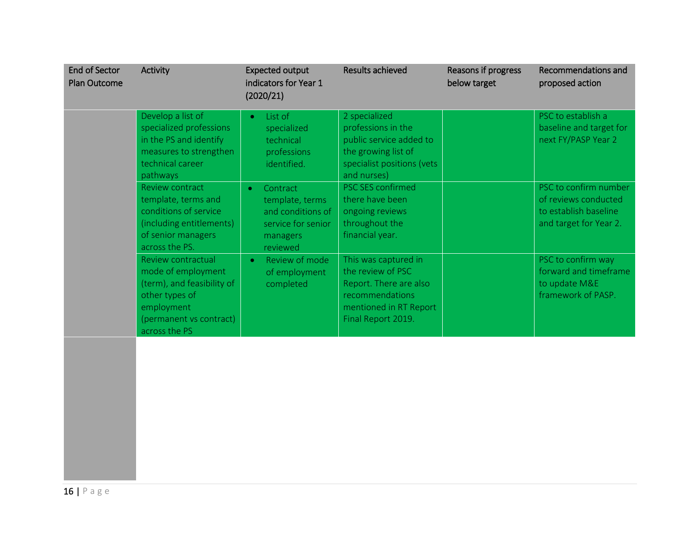| <b>End of Sector</b><br><b>Plan Outcome</b> | Activity                                                                                                                                           | <b>Expected output</b><br>indicators for Year 1<br>(2020/21)                                                | <b>Results achieved</b>                                                                                                                | Reasons if progress<br>below target | Recommendations and<br>proposed action                                                           |
|---------------------------------------------|----------------------------------------------------------------------------------------------------------------------------------------------------|-------------------------------------------------------------------------------------------------------------|----------------------------------------------------------------------------------------------------------------------------------------|-------------------------------------|--------------------------------------------------------------------------------------------------|
|                                             | Develop a list of<br>specialized professions<br>in the PS and identify<br>measures to strengthen<br>technical career<br>pathways                   | List of<br>$\bullet$<br>specialized<br>technical<br>professions<br>identified.                              | 2 specialized<br>professions in the<br>public service added to<br>the growing list of<br>specialist positions (vets<br>and nurses)     |                                     | PSC to establish a<br>baseline and target for<br>next FY/PASP Year 2                             |
|                                             | <b>Review contract</b><br>template, terms and<br>conditions of service<br>(including entitlements)<br>of senior managers<br>across the PS.         | Contract<br>$\bullet$<br>template, terms<br>and conditions of<br>service for senior<br>managers<br>reviewed | <b>PSC SES confirmed</b><br>there have been<br>ongoing reviews<br>throughout the<br>financial year.                                    |                                     | PSC to confirm number<br>of reviews conducted<br>to establish baseline<br>and target for Year 2. |
|                                             | Review contractual<br>mode of employment<br>(term), and feasibility of<br>other types of<br>employment<br>(permanent vs contract)<br>across the PS | Review of mode<br>$\bullet$<br>of employment<br>completed                                                   | This was captured in<br>the review of PSC<br>Report. There are also<br>recommendations<br>mentioned in RT Report<br>Final Report 2019. |                                     | PSC to confirm way<br>forward and timeframe<br>to update M&E<br>framework of PASP.               |
|                                             |                                                                                                                                                    |                                                                                                             |                                                                                                                                        |                                     |                                                                                                  |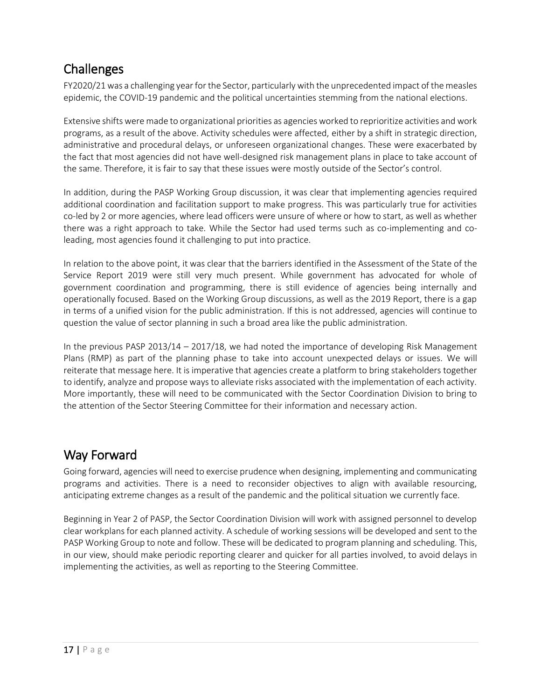## **Challenges**

FY2020/21 was a challenging year for the Sector, particularly with the unprecedented impact of the measles epidemic, the COVID-19 pandemic and the political uncertainties stemming from the national elections.

Extensive shifts were made to organizational priorities as agencies worked to reprioritize activities and work programs, as a result of the above. Activity schedules were affected, either by a shift in strategic direction, administrative and procedural delays, or unforeseen organizational changes. These were exacerbated by the fact that most agencies did not have well-designed risk management plans in place to take account of the same. Therefore, it is fair to say that these issues were mostly outside of the Sector's control.

In addition, during the PASP Working Group discussion, it was clear that implementing agencies required additional coordination and facilitation support to make progress. This was particularly true for activities co-led by 2 or more agencies, where lead officers were unsure of where or how to start, as well as whether there was a right approach to take. While the Sector had used terms such as co-implementing and coleading, most agencies found it challenging to put into practice.

In relation to the above point, it was clear that the barriers identified in the Assessment of the State of the Service Report 2019 were still very much present. While government has advocated for whole of government coordination and programming, there is still evidence of agencies being internally and operationally focused. Based on the Working Group discussions, as well as the 2019 Report, there is a gap in terms of a unified vision for the public administration. If this is not addressed, agencies will continue to question the value of sector planning in such a broad area like the public administration.

In the previous PASP 2013/14 – 2017/18, we had noted the importance of developing Risk Management Plans (RMP) as part of the planning phase to take into account unexpected delays or issues. We will reiterate that message here. It is imperative that agencies create a platform to bring stakeholders together to identify, analyze and propose ways to alleviate risks associated with the implementation of each activity. More importantly, these will need to be communicated with the Sector Coordination Division to bring to the attention of the Sector Steering Committee for their information and necessary action.

### Way Forward

Going forward, agencies will need to exercise prudence when designing, implementing and communicating programs and activities. There is a need to reconsider objectives to align with available resourcing, anticipating extreme changes as a result of the pandemic and the political situation we currently face.

Beginning in Year 2 of PASP, the Sector Coordination Division will work with assigned personnel to develop clear workplans for each planned activity. A schedule of working sessions will be developed and sent to the PASP Working Group to note and follow. These will be dedicated to program planning and scheduling. This, in our view, should make periodic reporting clearer and quicker for all parties involved, to avoid delays in implementing the activities, as well as reporting to the Steering Committee.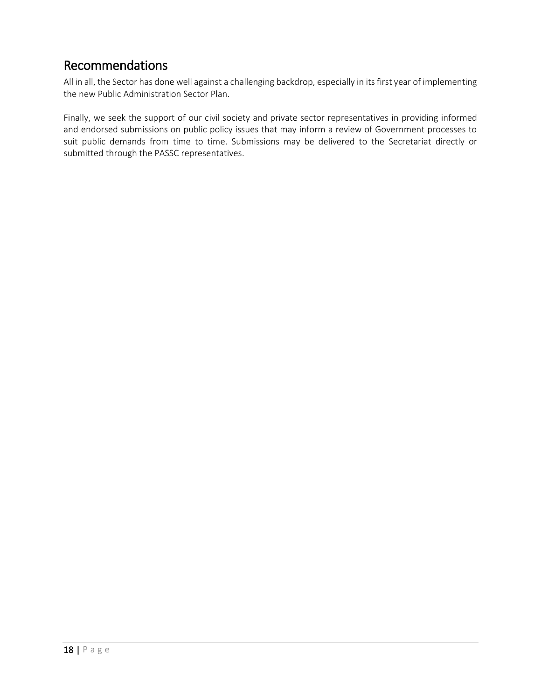### Recommendations

All in all, the Sector has done well against a challenging backdrop, especially in its first year of implementing the new Public Administration Sector Plan.

Finally, we seek the support of our civil society and private sector representatives in providing informed and endorsed submissions on public policy issues that may inform a review of Government processes to suit public demands from time to time. Submissions may be delivered to the Secretariat directly or submitted through the PASSC representatives.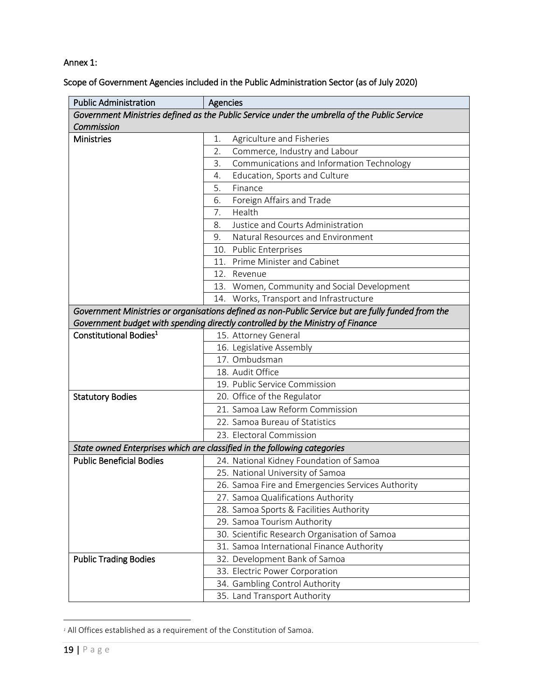#### Annex 1:

Scope of Government Agencies included in the Public Administration Sector (as of July 2020)

| <b>Public Administration</b>       | Agencies                                                                                           |
|------------------------------------|----------------------------------------------------------------------------------------------------|
|                                    | Government Ministries defined as the Public Service under the umbrella of the Public Service       |
| Commission                         |                                                                                                    |
| <b>Ministries</b>                  | Agriculture and Fisheries<br>1.                                                                    |
|                                    | 2.<br>Commerce, Industry and Labour                                                                |
|                                    | 3.<br>Communications and Information Technology                                                    |
|                                    | Education, Sports and Culture<br>4.                                                                |
|                                    | 5.<br>Finance                                                                                      |
|                                    | 6.<br>Foreign Affairs and Trade                                                                    |
|                                    | Health<br>7.                                                                                       |
|                                    | Justice and Courts Administration<br>8.                                                            |
|                                    | Natural Resources and Environment<br>9.                                                            |
|                                    | 10. Public Enterprises                                                                             |
|                                    | 11. Prime Minister and Cabinet                                                                     |
|                                    | 12. Revenue                                                                                        |
|                                    | 13. Women, Community and Social Development                                                        |
|                                    | 14. Works, Transport and Infrastructure                                                            |
|                                    | Government Ministries or organisations defined as non-Public Service but are fully funded from the |
|                                    | Government budget with spending directly controlled by the Ministry of Finance                     |
| Constitutional Bodies <sup>1</sup> | 15. Attorney General                                                                               |
|                                    | 16. Legislative Assembly                                                                           |
|                                    | 17. Ombudsman                                                                                      |
|                                    | 18. Audit Office                                                                                   |
|                                    | 19. Public Service Commission                                                                      |
| <b>Statutory Bodies</b>            | 20. Office of the Regulator                                                                        |
|                                    | 21. Samoa Law Reform Commission                                                                    |
|                                    | 22. Samoa Bureau of Statistics                                                                     |
|                                    | 23. Electoral Commission                                                                           |
|                                    | State owned Enterprises which are classified in the following categories                           |
| <b>Public Beneficial Bodies</b>    | 24. National Kidney Foundation of Samoa                                                            |
|                                    | 25. National University of Samoa                                                                   |
|                                    | 26. Samoa Fire and Emergencies Services Authority                                                  |
|                                    | 27. Samoa Qualifications Authority                                                                 |
|                                    | 28. Samoa Sports & Facilities Authority                                                            |
|                                    | 29. Samoa Tourism Authority                                                                        |
|                                    | 30. Scientific Research Organisation of Samoa                                                      |
|                                    | 31. Samoa International Finance Authority                                                          |
| <b>Public Trading Bodies</b>       | 32. Development Bank of Samoa                                                                      |
|                                    | 33. Electric Power Corporation                                                                     |
|                                    | 34. Gambling Control Authority                                                                     |
|                                    | 35. Land Transport Authority                                                                       |

*<sup>1</sup>* All Offices established as a requirement of the Constitution of Samoa.

 $\overline{\phantom{a}}$